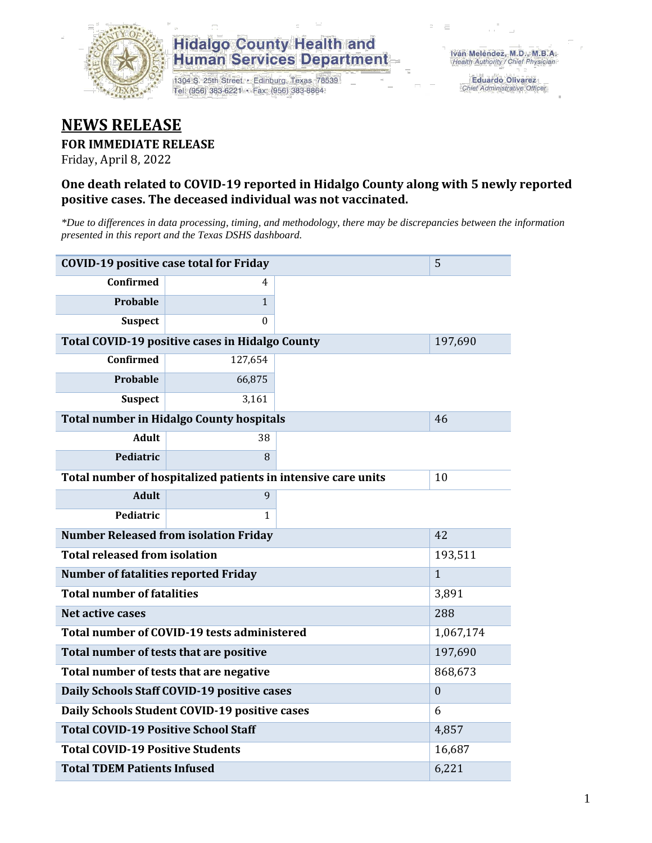

# **Hidalgo County Health and Human Services Department**

1304 S. 25th Street · Edinburg, Texas 78539 Tel: (956) 383-6221 · Fax: (956) 383-8864

**Eduardo Olivarez** Chief Administrative Officer

# **NEWS RELEASE**

## **FOR IMMEDIATE RELEASE**

Friday, April 8, 2022

## **One death related to COVID-19 reported in Hidalgo County along with 5 newly reported positive cases. The deceased individual was not vaccinated.**

*\*Due to differences in data processing, timing, and methodology, there may be discrepancies between the information presented in this report and the Texas DSHS dashboard.*

| <b>COVID-19 positive case total for Friday</b><br>5 |                                                               |              |  |  |  |
|-----------------------------------------------------|---------------------------------------------------------------|--------------|--|--|--|
| <b>Confirmed</b>                                    | 4                                                             |              |  |  |  |
| Probable                                            | $\mathbf{1}$                                                  |              |  |  |  |
| <b>Suspect</b>                                      | $\Omega$                                                      |              |  |  |  |
| Total COVID-19 positive cases in Hidalgo County     |                                                               | 197,690      |  |  |  |
| <b>Confirmed</b>                                    | 127,654                                                       |              |  |  |  |
| <b>Probable</b>                                     | 66,875                                                        |              |  |  |  |
| <b>Suspect</b>                                      | 3,161                                                         |              |  |  |  |
| <b>Total number in Hidalgo County hospitals</b>     |                                                               | 46           |  |  |  |
| <b>Adult</b>                                        | 38                                                            |              |  |  |  |
| Pediatric                                           | 8                                                             |              |  |  |  |
|                                                     | Total number of hospitalized patients in intensive care units | 10           |  |  |  |
| <b>Adult</b>                                        | 9                                                             |              |  |  |  |
| Pediatric                                           | 1                                                             |              |  |  |  |
| <b>Number Released from isolation Friday</b>        |                                                               | 42           |  |  |  |
| <b>Total released from isolation</b>                |                                                               | 193,511      |  |  |  |
| <b>Number of fatalities reported Friday</b>         |                                                               | $\mathbf{1}$ |  |  |  |
| <b>Total number of fatalities</b>                   |                                                               | 3,891        |  |  |  |
| Net active cases                                    |                                                               | 288          |  |  |  |
| Total number of COVID-19 tests administered         |                                                               | 1,067,174    |  |  |  |
| Total number of tests that are positive             |                                                               | 197,690      |  |  |  |
| Total number of tests that are negative             |                                                               | 868,673      |  |  |  |
| Daily Schools Staff COVID-19 positive cases         |                                                               | $\mathbf{0}$ |  |  |  |
| Daily Schools Student COVID-19 positive cases       |                                                               | 6            |  |  |  |
| <b>Total COVID-19 Positive School Staff</b>         | 4,857                                                         |              |  |  |  |
| <b>Total COVID-19 Positive Students</b>             |                                                               | 16,687       |  |  |  |
| <b>Total TDEM Patients Infused</b>                  | 6,221                                                         |              |  |  |  |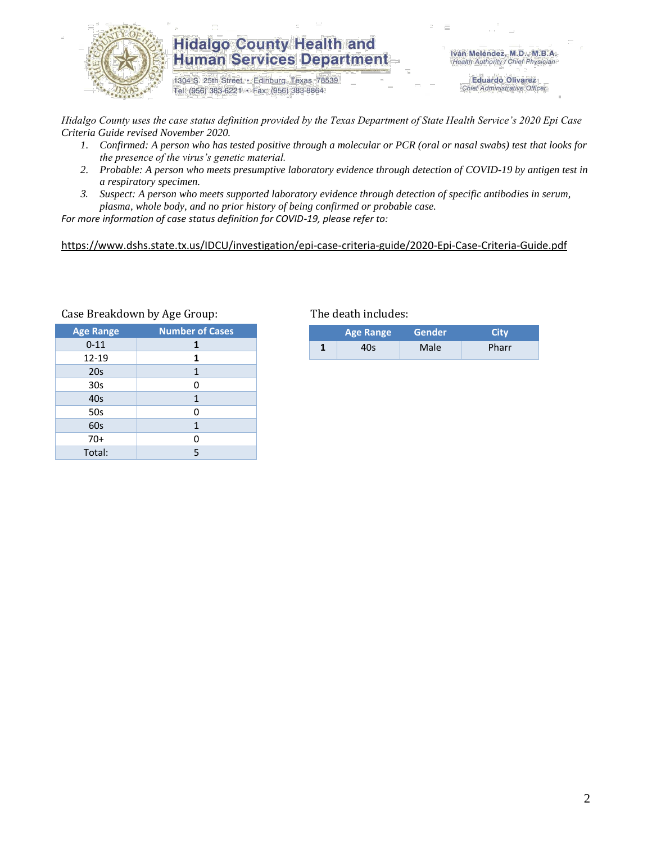

# **Hidalgo County Health and Human Services Department**

1304 S. 25th Street · Edinburg, Texas 78539 Tel: (956) 383-6221 · Fax: (956) 383-8864

Iván Meléndez, M.D., M.B.A. Health Authority / Chief Physician

> **Eduardo Olivarez** Chief Administrative Officer

*Hidalgo County uses the case status definition provided by the Texas Department of State Health Service's 2020 Epi Case Criteria Guide revised November 2020.*

- *1. Confirmed: A person who has tested positive through a molecular or PCR (oral or nasal swabs) test that looks for the presence of the virus's genetic material.*
- *2. Probable: A person who meets presumptive laboratory evidence through detection of COVID-19 by antigen test in a respiratory specimen.*
- *3. Suspect: A person who meets supported laboratory evidence through detection of specific antibodies in serum, plasma, whole body, and no prior history of being confirmed or probable case.*

*For more information of case status definition for COVID-19, please refer to:*

<https://www.dshs.state.tx.us/IDCU/investigation/epi-case-criteria-guide/2020-Epi-Case-Criteria-Guide.pdf>

| <b>Age Range</b> | <b>Number of Cases</b> |
|------------------|------------------------|
| $0 - 11$         | 1                      |
| 12-19            | 1                      |
| 20 <sub>s</sub>  | 1                      |
| 30 <sub>s</sub>  | 0                      |
| 40s              | 1                      |
| 50s              | 0                      |
| 60s              | 1                      |
| $70+$            | 0                      |
| Total:           | 5                      |

#### Case Breakdown by Age Group: The death includes:

|   | <b>Age Range</b> | Gender | <b>City</b> |  |
|---|------------------|--------|-------------|--|
| л | 40s              | Male   | Pharr       |  |